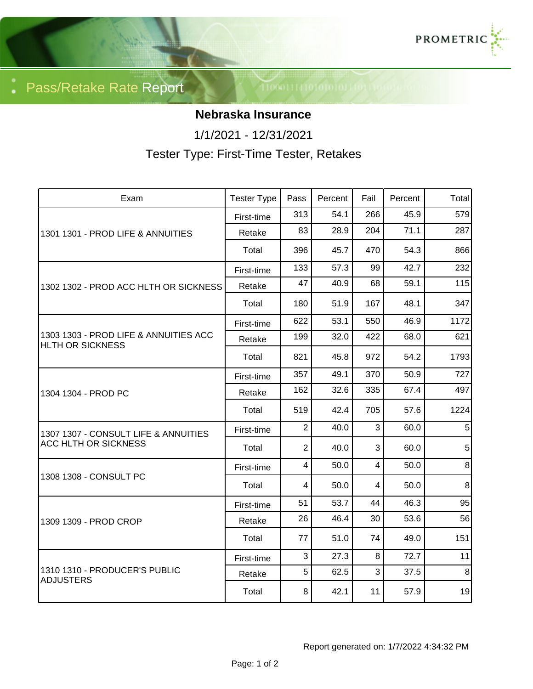

Pass/Retake Rate Report

## **Nebraska Insurance**

1/1/2021 - 12/31/2021

Tester Type: First-Time Tester, Retakes

| Exam                                                                | <b>Tester Type</b> | Pass           | Percent | Fail           | Percent | Total          |
|---------------------------------------------------------------------|--------------------|----------------|---------|----------------|---------|----------------|
| 1301 1301 - PROD LIFE & ANNUITIES                                   | First-time         | 313            | 54.1    | 266            | 45.9    | 579            |
|                                                                     | Retake             | 83             | 28.9    | 204            | 71.1    | 287            |
|                                                                     | Total              | 396            | 45.7    | 470            | 54.3    | 866            |
| 1302 1302 - PROD ACC HLTH OR SICKNESS                               | First-time         | 133            | 57.3    | 99             | 42.7    | 232            |
|                                                                     | Retake             | 47             | 40.9    | 68             | 59.1    | 115            |
|                                                                     | Total              | 180            | 51.9    | 167            | 48.1    | 347            |
| 1303 1303 - PROD LIFE & ANNUITIES ACC<br>HLTH OR SICKNESS           | First-time         | 622            | 53.1    | 550            | 46.9    | 1172           |
|                                                                     | Retake             | 199            | 32.0    | 422            | 68.0    | 621            |
|                                                                     | Total              | 821            | 45.8    | 972            | 54.2    | 1793           |
| 1304 1304 - PROD PC                                                 | First-time         | 357            | 49.1    | 370            | 50.9    | 727            |
|                                                                     | Retake             | 162            | 32.6    | 335            | 67.4    | 497            |
|                                                                     | Total              | 519            | 42.4    | 705            | 57.6    | 1224           |
| 1307 1307 - CONSULT LIFE & ANNUITIES<br><b>ACC HLTH OR SICKNESS</b> | First-time         | $\overline{2}$ | 40.0    | 3              | 60.0    | 5              |
|                                                                     | Total              | $\overline{2}$ | 40.0    | 3              | 60.0    | 5 <sup>1</sup> |
| 1308 1308 - CONSULT PC                                              | First-time         | $\overline{4}$ | 50.0    | $\overline{4}$ | 50.0    | 8 <sup>°</sup> |
|                                                                     | Total              | $\overline{4}$ | 50.0    | $\overline{4}$ | 50.0    | $\,8\,$        |
| 1309 1309 - PROD CROP                                               | First-time         | 51             | 53.7    | 44             | 46.3    | 95             |
|                                                                     | Retake             | 26             | 46.4    | 30             | 53.6    | 56             |
|                                                                     | Total              | 77             | 51.0    | 74             | 49.0    | 151            |
| 1310 1310 - PRODUCER'S PUBLIC<br><b>ADJUSTERS</b>                   | First-time         | 3              | 27.3    | 8              | 72.7    | 11             |
|                                                                     | Retake             | 5              | 62.5    | 3              | 37.5    | $\, 8$         |
|                                                                     | Total              | 8              | 42.1    | 11             | 57.9    | 19             |